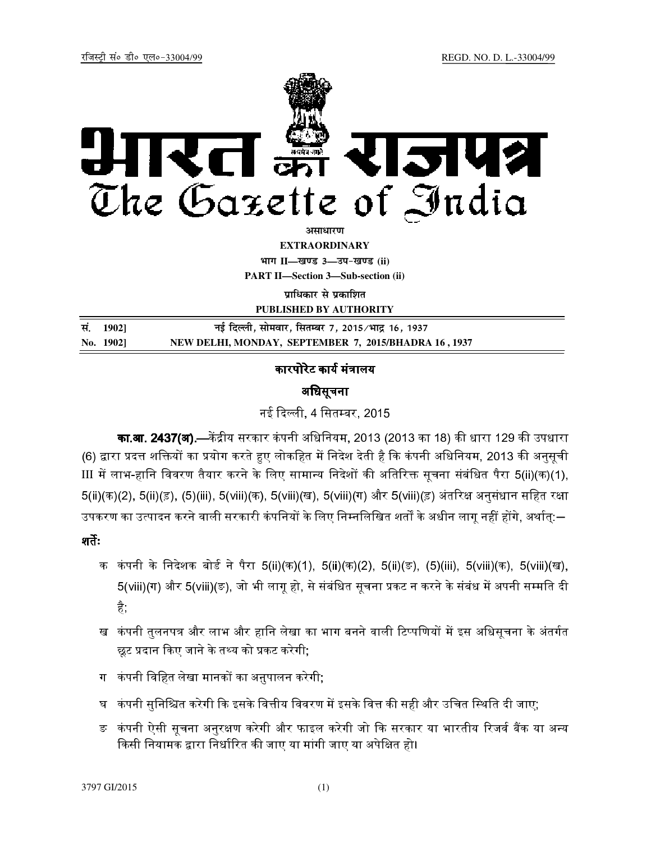

**अमाधारण** 

**EXTRAORDINARY**

**Hkkx II—[k.M 3—mi&[k.M (ii) PART II—Section 3—Sub-section (ii)** 

**प्राधिकार से प्रकाशित** 

**PUBLISHED BY AUTHORITY**

| सं. 1902] | नई दिल्ली, सोमवार, सितम्बर 7, 2015/भाद्र 16, 1937    |
|-----------|------------------------------------------------------|
| No. 1902] | NEW DELHI, MONDAY, SEPTEMBER 7, 2015/BHADRA 16, 1937 |

# कारपोरेट कार्य मंत्रालय

## अधिसूचना

नई दली, 4 िसतबर, 2015

का.आ. 2437(अ).—केंद्रीय सरकार कंपनी अधिनियम, 2013 (2013 का 18) की धारा 129 की उपधारा (6) द्वारा प्रदत्त शक्तियों का प्रयोग करते हुए लोकहित में निदेश देती है कि कंपनी अधिनियम, 2013 की अनुसूची  $III$  में लाभ-हानि विवरण तैयार करने के लिए सामान्य निदेशों की अतिरिक्त सूचना संबंधित पैरा 5(ii)(क)(1), 5(ii)(क)(2), 5(ii)(ड़), (5)(iii), 5(viii)(क), 5(viii)(ख), 5(viii)(ग) और 5(viii)(ड़) अंतरिक्ष अनुसंधान सहित रक्षा उपकरण का उत्पादन करने वाली सरकारी कंपनियों के लिए निम्नलिखित शतों के अधीन लागू नहीं होंगे, अर्थात्:—

# शतः

- क कंपनी के निदेशक बोर्ड ने पैरा 5(ii)(क)(1), 5(ii)(क)(2), 5(ii)(ङ), (5)(iii), 5(viii)(क), 5(viii)(ख), 5(viii)(ग) और 5(viii)(ङ), जो भी लागू हो, से संबंधित सूचना प्रकट न करने के संबंध में अपनी सम्मति दी है;
- ख कंपनी तुलनपत्र और लाभ और हानि लेखा का भाग बनने वाली टिप्पणियों में इस अधिसूचना के अंतर्गत <mark>छूट प्रदान किए जाने के तथ्य को प्रकट करेगी</mark>;
- ग कंपनी विहित लेखा मानकों का अ<u>नु</u>पालन करेगी;
- घ कंपनी सुनिश्चित करेगी कि इसके वित्तीय विवरण में इसके वित्त की सही और उचित स्थिति दी जाए;
- ङ कंपनी ऐसी सूचना अनुरक्षण करेगी और फाइल करेगी जो कि सरकार या भारतीय रिजर्व बैंक या अन्य किसी नियामक द्वारा निर्धारित की जाए या मांगी जाए या अपेक्षित हो।